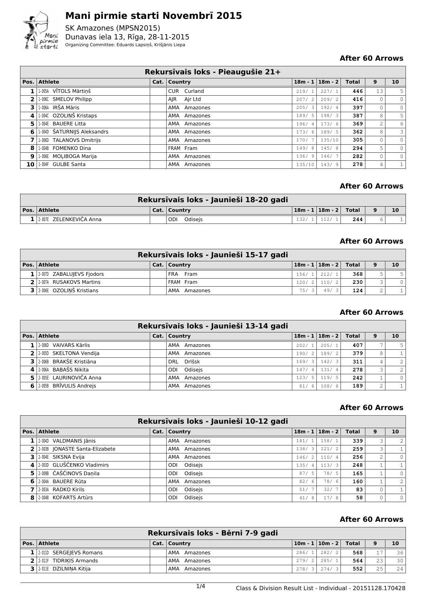

SK Amazones (MPSN2015) Dunavas iela 13, Rīga, 28-11-2015 Organizing Committee: Eduards Lapsiņš, Krišjānis Liepa

#### **After 60 Arrows**

|                |                             | Rekursīvais loks - Pieaugušie 21+ |        |                       |              |                |                         |
|----------------|-----------------------------|-----------------------------------|--------|-----------------------|--------------|----------------|-------------------------|
|                | Pos. Athlete                | Cat.   Country                    |        | $18m - 1$   $18m - 2$ | <b>Total</b> | 9              | 10                      |
|                | 1-005A VĪTOLS Mārtiņš       | CUR Curland                       | 219/1  | 227/1                 | 446          | 13             | 5                       |
| $\overline{2}$ | 1.006C SMELOV Philipp       | AIR Air Ltd                       | 207/2  | 209/2                 | 416          | 0              | $\circ$                 |
| 3              | 1-006A IRŠA Māris           | AMA Amazones                      | 205/3  | 192/4                 | 397          | $\mathbf{0}$   | $\circ$                 |
|                | 4 1.0040 OZOLINŠ Kristaps   | AMA Amazones                      | 189/5  | 198/3                 | 387          | 8              | 5 <sup>1</sup>          |
| 5.             | 1-004E BAUERE Litta         | AMA Amazones                      | 196/4  | 173/6                 | 369          | $\overline{2}$ | $6 \mid$                |
| 6              | 1.004D ŠATURNIJS Aleksandrs | AMA Amazones                      | 173/6  | 189/5                 | 362          | 8              | $\overline{\mathbf{3}}$ |
|                | 1-006D TALANOVS Dmitrijs    | AMA Amazones                      | 170/   | 135/10                | 305          | $\circ$        | $\circ$                 |
| 8              | 1-004B FOMENKO Dina         | FRAM Fram                         | 149/8  | 145/8                 | 294          | 5.             | $\circ$                 |
| 9              | 1-006E MOLIBOGA Marija      | AMA Amazones                      | 136/9  | 146/7                 | 282          | $\circ$        | $\circ$                 |
|                | 10 1.004F GULBE Santa       | AMA Amazones                      | 135/10 | 143/9                 | 278          | 4              | $1\vert$                |

#### **After 60 Arrows**

|                           | Rekursīvais loks - Jaunieši 18-20 gadi |       |                             |     |    |
|---------------------------|----------------------------------------|-------|-----------------------------|-----|----|
| $ Pos. $ Athlete          | Cat.   Country                         |       | 18m - 1   18m - 2     Total |     | 10 |
| 1 2.007E ZELENKEVIČA Anna | ODI.<br>Odiseis                        | 132/1 | 112/1                       | 244 |    |

#### **After 60 Arrows**

|                                 | Rekursīvais loks - Jaunieši 15-17 gadi |       |                             |     |   |                |
|---------------------------------|----------------------------------------|-------|-----------------------------|-----|---|----------------|
| Pos. Athlete                    | Cat.   Country                         |       | $18m - 1   18m - 2  $ Total |     | 9 | 10             |
| $1$   2.007D ZABALUJEVS Fjodors | FRA Fram                               |       | 156/1   212/1               | 368 |   | 5 <sub>1</sub> |
| 2 2 2007A RUSAKOVS Martins      | FRAM Fram                              | 120/2 | 110/2                       | 230 |   | $\Omega$       |
| $3$ 2.006E OZOLINŠ Kristians    | AMA Amazones                           | 75/3  | 49/                         | 124 |   |                |

## **After 60 Arrows**

|                                        | Rekursīvais loks - Jaunieši 13-14 gadi |       |       |                             |   |                |
|----------------------------------------|----------------------------------------|-------|-------|-----------------------------|---|----------------|
| Pos. Athlete                           | Cat.   Country                         |       |       | $18m - 1   18m - 2  $ Total | 9 | 10             |
| 2.006D VAIVARS Kārlis                  | AMA Amazones                           | 202/1 | 205/1 | 407                         |   | 5 <sup>1</sup> |
| $2$   2-005D SKELTONA Vendija          | AMA Amazones                           | 190/2 | 189/2 | 379                         | 8 |                |
| 3 2068 BRAKŠE Kristiāna                | DRL Drlšsk                             | 169/3 | 142/3 | 311                         | 4 | $\overline{2}$ |
| 4 2.006A BABAŠS Nikita                 | ODI Odisejs                            | 147/4 | 131/4 | 278                         | 3 | $\overline{2}$ |
| 5 2005E LAURINOVIČA Anna               | AMA Amazones                           | 123/5 | 119/5 | 242                         |   | $\circ$        |
| $\overline{6}$ 2.005B BRIVULIS Andreis | AMA Amazones                           | 81/6  | 108/6 | 189                         | 2 |                |

## **After 60 Arrows**

|    | Rekursīvais loks - Jaunieši 10-12 gadi |  |                 |       |                |                               |     |   |                |  |  |
|----|----------------------------------------|--|-----------------|-------|----------------|-------------------------------|-----|---|----------------|--|--|
|    | Pos. Athlete                           |  | Cat.   Country  |       |                | $18m - 1$   $18m - 2$   Total |     |   | 10             |  |  |
|    | $1$   2-004D VALDMANIS Jānis           |  | AMA Amazones    | 181/1 |                | 158/1                         | 339 | 3 | 2              |  |  |
|    | 2 2.003B JONASTE Santa-Elizabete       |  | AMA Amazones    | 138/3 |                | 121/2                         | 259 | 3 |                |  |  |
|    | 3 2004E SIKSNA Evija                   |  | AMA Amazones    | 146/2 |                | 110/4                         | 256 | 2 | $\Omega$       |  |  |
|    | 4 2003D GLUŠČENKO Vladimirs            |  | Odisejs<br>ODI  | 135/  | $\overline{4}$ | 113/3                         | 248 |   |                |  |  |
|    | 5 2009 ČAŠČINOVS Danila                |  | ODI Odisejs     | 87/5  |                | 78/5                          | 165 |   | $\Omega$       |  |  |
| 61 | 2-004A BAUERE Rūta                     |  | AMA Amazones    | 82/   | 6              | 78/6                          | 160 |   | $\mathfrak{D}$ |  |  |
|    | 7 2-003A RADKO Kirils                  |  | ODI Odisejs     | 51/   |                | 32/                           | 83  |   |                |  |  |
|    | 8 2004B KOFARTS Artūrs                 |  | Odisejs<br>ODI. | 41/   | 8              | 17/8                          | 58  |   | $\Omega$       |  |  |

|                             | Rekursīvais loks - Bērni 7-9 gadi |       |                           |     |    |                 |
|-----------------------------|-----------------------------------|-------|---------------------------|-----|----|-----------------|
| Pos. Athlete                | Cat.   Country                    |       | $10m - 1$ $10m - 2$ Total |     | 9  | 10              |
| 1 2011 SERGEIEVS Romans     | AMA<br>Amazones                   | 286/1 | 282/2                     | 568 | 17 | 36              |
| 2 2 2-011F TIDRIKIS Armands | AMA Amazones                      | 279/2 | 285/1                     | 564 | 23 | 30 <sup>1</sup> |
| 3 2011E DZILNINA Kitija     | AMA<br>Amazones                   | 278/3 | 274/3                     | 552 | 25 | 24              |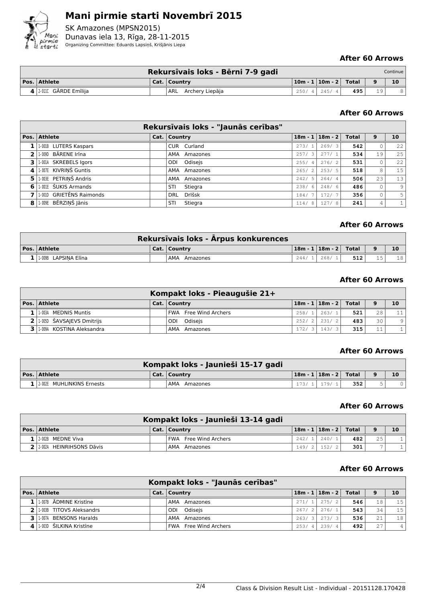

SK Amazones (MPSN2015) Dunavas iela 13, Rīga, 28-11-2015 Organizing Committee: Eduards Lapsiņš, Krišjānis Liepa

## **After 60 Arrows**

|                        | Rekursīvais loks - Bērni 7-9 gadi |                           |     |    | Continue |
|------------------------|-----------------------------------|---------------------------|-----|----|----------|
| Pos. Athlete           | Cat.   Country                    | $ 10m - 1 10m - 2 $ Total |     |    | 10       |
| 4 2.0110 GĀRDE Emīlija | ARL Archery Liepāja               | $250/4$ 245/4             | 495 | 19 |          |

## **After 60 Arrows**

|                          |                          | Rekursīvais loks - "Jaunās cerības" |            |                       |       |    |                |
|--------------------------|--------------------------|-------------------------------------|------------|-----------------------|-------|----|----------------|
|                          | Pos. Athlete             | Cat.   Country                      |            | $18m - 1$   $18m - 2$ | Total | 9  | 10             |
|                          | 1.0018 LUTERS Kaspars    | CUR Curland                         | 273/1      | 269/3                 | 542   |    | 22             |
| $\overline{\phantom{a}}$ | 1-009D BĀRENE Irīna      | AMA<br>Amazones                     | 257/<br>3' | 277/1                 | 534   | 19 | 25             |
| 31                       | 1.001A SKREBELS Igors    | ODI Odisejs                         | 255/4      | 276/2                 | 531   |    | 22             |
| 4                        | 1-007E KIVRINŠ Guntis    | AMA Amazones                        | 265/2      | 253/5                 | 518   | 8  | 15             |
| 5.                       | 1-003E PETRIŅŠ Andris    | AMA Amazones                        | 242/5      | 264/4                 | 506   | 23 | 13             |
| 6                        | 1-001E ŠUKIS Armands     | Stiegra<br>STI                      | 238/6      | 248/6                 | 486   |    | 9 <sub>1</sub> |
|                          | 1.001D GRIETĒNS Raimonds | Drlšsk<br><b>DRL</b>                | 184/       | 172/7                 | 356   |    | 5 <sup>1</sup> |
| 8                        | 1-009E BĒRZINŠ Jānis     | Stiegra<br>STI                      | 114/8      | 127/8                 | 241   | 4  |                |

#### **After 60 Arrows**

|                         | Rekursīvais loks - Ārpus konkurences |       |                             |     |          |                 |
|-------------------------|--------------------------------------|-------|-----------------------------|-----|----------|-----------------|
| Pos. Athlete            | . Cat.   Country                     |       | 18m - 1   18m - 2     Total |     | $\Omega$ | 10              |
| $11.009B$ LAPSINA Elina | AMA Amazones                         | 244/1 | . 268/                      | 512 |          | 18 <sup>1</sup> |

## **After 60 Arrows**

|                                 | Kompakt loks - Pieaugušie 21+ |                               |                  |    |         |
|---------------------------------|-------------------------------|-------------------------------|------------------|----|---------|
| Pos. Athlete                    | Cat.   Country                | $18m - 1$   $18m - 2$   Total |                  | 9  | 10      |
| 1   1.003A MEDNIS Muntis        | <b>FWA</b> Free Wind Archers  | 258/1   263/1                 | 521 <sub>1</sub> | 28 | 11      |
| $2$   1.0050 ŠAVSAJEVS Dmitrijs | ODI Odiseis                   | $252/2$   231/2               | 483              | 30 | $\circ$ |
| 3 1.009A KOSTINA Aleksandra     | AMA Amazones                  | $172/3$ 143/3                 | 315              | 11 |         |

## **After 60 Arrows**

|                                 | Kompakt loks - Jaunieši 15-17 gadi |       |                           |  |
|---------------------------------|------------------------------------|-------|---------------------------|--|
| $\vert$ Pos. $\vert$ Athlete    | Cat.   Country                     |       | $ 18m - 1 18m - 2 $ Total |  |
| $1$   2-002E MUHLINKINS Ernests | AMA Amazones                       | 179/1 | 352                       |  |

#### **After 60 Arrows**

|                          | Kompakt loks - Jaunieši 13-14 gadi |                             |     |     |    |
|--------------------------|------------------------------------|-----------------------------|-----|-----|----|
| Pos.   Athlete           | Cat.   Country                     | $18m - 1   18m - 2  $ Total |     | 9   | 10 |
| 12-002B MEDNE Viva       | <b>FWA</b> Free Wind Archers       | $242/1$ 240/1               | 482 | 2.5 |    |
| 2.002A HEINRIHSONS Dāvis | AMA Amazones                       | 149/2   152/2               | 301 |     |    |

|                                       | Kompakt loks - "Jaunās cerības" |       |                               |      |     |                 |
|---------------------------------------|---------------------------------|-------|-------------------------------|------|-----|-----------------|
| Pos. Athlete                          | Cat.   Country                  |       | $18m - 1$   $18m - 2$   Total |      | 9   | 10              |
| $1$   1-007B $\bar{A}$ DMINE Kristine | AMA Amazones                    | 271/1 | 275/2                         | 546  | 18  | 15              |
| 2 1.003B TITOVS Aleksandrs            | Odiseis<br>ODI                  | 267/2 | $'$ 276/11                    | 5431 | 34  | 15              |
| 3 1.007A BENSONS Haralds              | AMA Amazones                    | 263/3 | 273/3                         | 536  | 21  | 18 <sup>1</sup> |
| 4 1.003D ŠILKINA Kristīne             | <b>FWA</b> Free Wind Archers    | 253/4 | 239/4                         | 492  | 2.7 |                 |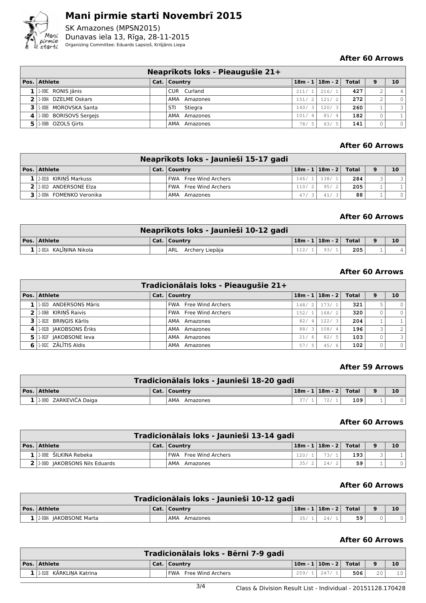

SK Amazones (MPSN2015) Dunavas iela 13, Rīga, 28-11-2015 Organizing Committee: Eduards Lapsiņš, Krišjānis Liepa

#### **After 60 Arrows**

|                               | Neaprikots loks - Pieaugušie 21+ |       |                               |     |   |               |
|-------------------------------|----------------------------------|-------|-------------------------------|-----|---|---------------|
| Pos. Athlete                  | Cat.   Country                   |       | $18m - 1$   $18m - 2$   Total |     | 9 | 10            |
| $1$   1.008C RONIS Jānis      | CUR Curland                      | 211/1 | 216/1                         | 427 |   |               |
| 2 1.008A DZELME Oskars        | AMA Amazones                     | 151/2 | 121/2                         | 272 |   | $\Omega$      |
| 3 1.008E MOROVSKA Santa       | Stiegra<br>STI                   | 140/3 | 120/3                         | 260 |   | $\mathcal{L}$ |
| $4$   1.008D BORISOVS Sergejs | AMA Amazones                     | 101/4 | 81/4                          | 182 |   |               |
| 1.008B OZOLS Girts            | AMA Amazones                     | 78/5  | 63/<br>-5                     | 141 |   | $\circ$       |

## **After 60 Arrows**

|                           | Neaprīkots loks - Jaunieši 15-17 gadi |       |                             |     |   |    |
|---------------------------|---------------------------------------|-------|-----------------------------|-----|---|----|
| Pos. Athlete              | Cat.   Country                        |       | $18m - 1   18m - 2  $ Total |     | 9 | 10 |
| $1$ 2.001B KIRINŠ Markuss | <b>FWA</b> Free Wind Archers          | 146/1 | 138/1                       | 284 |   |    |
| 2 2 2001D ANDERSONE Elza  | <b>FWA</b> Free Wind Archers          | 110/2 | 95/2                        | 205 |   |    |
| 3 2009A FOMENKO Veronika  | AMA<br>Amazones                       | 47/   | 41                          | 88  |   |    |

## **After 60 Arrows**

| Neaprīkots loks - Jaunieši 10-12 gadi |  |                     |  |                             |     |  |                 |  |  |  |  |
|---------------------------------------|--|---------------------|--|-----------------------------|-----|--|-----------------|--|--|--|--|
| Pos.   Athlete                        |  | Cat.   Country      |  | 18m - 1   18m - 2     Total |     |  | 10 <sup>°</sup> |  |  |  |  |
| 1 2.001A KALININA Nikola              |  | ARL Archery Liepāja |  | 93/                         | 205 |  |                 |  |  |  |  |

## **After 60 Arrows**

|    |                          | Tradicionālais loks - Pieaugušie 21+ |                       |                             |     |     |                         |
|----|--------------------------|--------------------------------------|-----------------------|-----------------------------|-----|-----|-------------------------|
|    | Pos. Athlete             | Cat.   Country                       |                       | $18m - 1   18m - 2  $ Total |     | 9   | 10                      |
|    | 1 1.002D ANDERSONS Māris | <b>FWA</b> Free Wind Archers         | 148/2                 | 173/1                       | 321 |     |                         |
|    | 2 1.006B KIRIŅŠ Raivis   | <b>FWA</b> Free Wind Archers         | 152/1                 | 168/2                       | 320 |     |                         |
|    | 3 1.002E BRINGIS Kārlis  | AMA Amazones                         | 82/<br>$\overline{4}$ | 122/3                       | 204 |     |                         |
|    | 4 1.002B JAKOBSONS Ēriks | AMA Amazones                         | 88/3                  | 108/4                       | 196 | 3 I | 2 <sup>1</sup>          |
| 5. | 1-002F JAKOBSONE leva    | AMA Amazones                         | 21/6                  | 82/5                        | 103 |     | $\overline{\mathbf{3}}$ |
| 6  | 1.002C ZĀLĪTIS Aldis     | AMA Amazones                         | 57/<br>- 5'           | 45/6                        | 102 |     | $\circ$                 |

#### **After 59 Arrows**

| Tradicionālais loks - Jaunieši 18-20 gadi |  |                |  |                             |     |  |    |  |  |  |  |
|-------------------------------------------|--|----------------|--|-----------------------------|-----|--|----|--|--|--|--|
| $\vert$ Pos. $\vert$ Athlete              |  | Cat.   Country |  | 18m - 1   18m - 2     Total |     |  | 10 |  |  |  |  |
| 1 2.009D ZARKEVIČA Dajga                  |  | AMA Amazones   |  | 72/1                        | 109 |  |    |  |  |  |  |

## **After 60 Arrows**

| Tradicionālais loks - Jaunieši 13-14 gadi |  |                       |      |                                                 |                  |  |    |  |  |  |  |
|-------------------------------------------|--|-----------------------|------|-------------------------------------------------|------------------|--|----|--|--|--|--|
| Pos. Athlete                              |  | Cat.   Country        |      | $\lfloor 18m - 1 \rfloor 18m - 2 \rfloor$ Total |                  |  | 10 |  |  |  |  |
| $1/2.008E$ ŠILKINA Rebeka                 |  | FWA Free Wind Archers | 120/ | 73/1                                            | 193 <sup>1</sup> |  |    |  |  |  |  |
| 2 2.000 JAKOBSONS Nils Eduards            |  | AMA Amazones          | 35/2 | 24/2                                            | 59               |  |    |  |  |  |  |

#### **After 60 Arrows**

| Tradicionālais loks - Jaunieši 10-12 gadi |  |                 |      |                             |    |  |    |  |  |  |  |
|-------------------------------------------|--|-----------------|------|-----------------------------|----|--|----|--|--|--|--|
| $\vert$ Pos. $\vert$ Athlete              |  | Cat.   Country  |      | 18m - 1   18m - 2     Total |    |  | 10 |  |  |  |  |
| 1 2-008A JAKOBSONE Marta                  |  | AMA<br>Amazones | 35/1 | 24/1                        | 59 |  |    |  |  |  |  |

| Tradicionālais loks - Bērni 7-9 gadi |  |                              |       |  |                             |     |          |                 |  |  |  |
|--------------------------------------|--|------------------------------|-------|--|-----------------------------|-----|----------|-----------------|--|--|--|
| Pos. Athlete                         |  | Cat.   Country               |       |  | 10m - 1   10m - 2     Total |     | $\Omega$ | 10              |  |  |  |
| $1$   2.010E KĀRKLINA Katrina        |  | <b>FWA</b> Free Wind Archers | 259/1 |  | .247/1                      | 506 | 2.0      | 10 <sup>1</sup> |  |  |  |